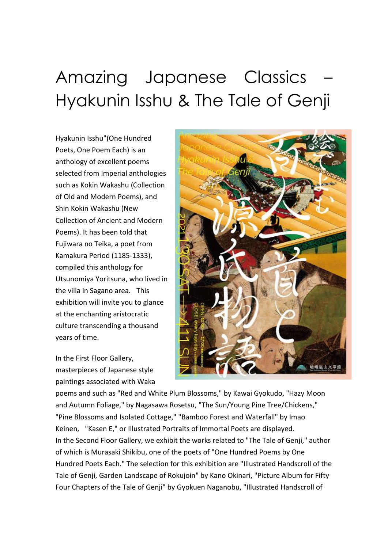## Amazing Japanese Classics Hyakunin Isshu & The Tale of Genji

Hyakunin Isshu"(One Hundred Poets, One Poem Each) is an anthology of excellent poems selected from Imperial anthologies such as Kokin Wakashu (Collection of Old and Modern Poems), and Shin Kokin Wakashu (New Collection of Ancient and Modern Poems). It has been told that Fujiwara no Teika, a poet from Kamakura Period (1185-1333), compiled this anthology for Utsunomiya Yoritsuna, who lived in the villa in Sagano area. This exhibition will invite you to glance at the enchanting aristocratic culture transcending a thousand years of time.

In the First Floor Gallery, masterpieces of Japanese style paintings associated with Waka



poems and such as "Red and White Plum Blossoms," by Kawai Gyokudo, "Hazy Moon and Autumn Foliage," by Nagasawa Rosetsu, "The Sun/Young Pine Tree/Chickens," "Pine Blossoms and Isolated Cottage," "Bamboo Forest and Waterfall" by Imao Keinen, "Kasen E," or Illustrated Portraits of Immortal Poets are displayed. In the Second Floor Gallery, we exhibit the works related to "The Tale of Genji," author of which is Murasaki Shikibu, one of the poets of "One Hundred Poems by One Hundred Poets Each." The selection for this exhibition are "Illustrated Handscroll of the Tale of Genji, Garden Landscape of Rokujoin" by Kano Okinari, "Picture Album for Fifty Four Chapters of the Tale of Genji" by Gyokuen Naganobu, "Illustrated Handscroll of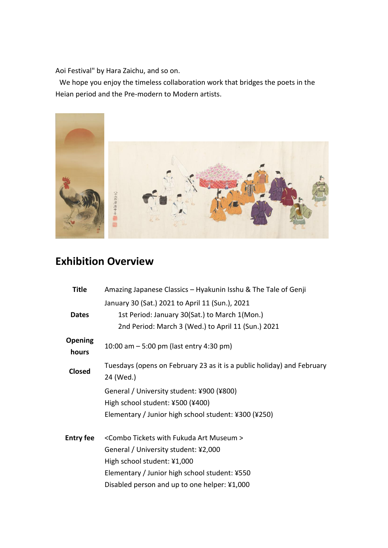Aoi Festival" by Hara Zaichu, and so on.

We hope you enjoy the timeless collaboration work that bridges the poets in the Heian period and the Pre-modern to Modern artists.



## **Exhibition Overview**

| Title                   | Amazing Japanese Classics - Hyakunin Isshu & The Tale of Genji         |
|-------------------------|------------------------------------------------------------------------|
|                         | January 30 (Sat.) 2021 to April 11 (Sun.), 2021                        |
| <b>Dates</b>            | 1st Period: January 30(Sat.) to March 1(Mon.)                          |
|                         | 2nd Period: March 3 (Wed.) to April 11 (Sun.) 2021                     |
| <b>Opening</b><br>hours | 10:00 am $-$ 5:00 pm (last entry 4:30 pm)                              |
| <b>Closed</b>           | Tuesdays (opens on February 23 as it is a public holiday) and February |
|                         | 24 (Wed.)                                                              |
|                         | General / University student: ¥900 (¥800)                              |
|                         | High school student: ¥500 (¥400)                                       |
|                         | Elementary / Junior high school student: ¥300 (¥250)                   |
| <b>Entry fee</b>        | <combo art="" fukuda="" museum="" tickets="" with=""></combo>          |
|                         | General / University student: ¥2,000                                   |
|                         | High school student: ¥1,000                                            |
|                         | Elementary / Junior high school student: ¥550                          |
|                         | Disabled person and up to one helper: ¥1,000                           |